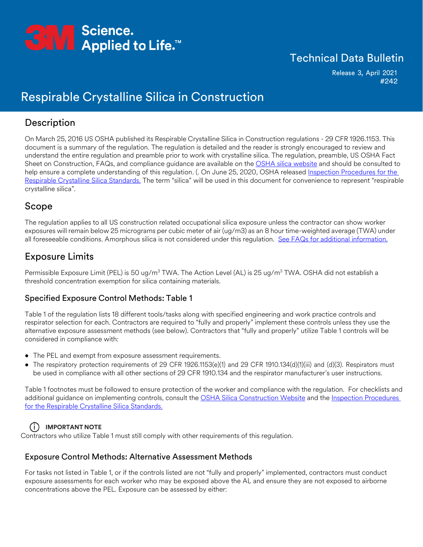

## Technical Data Bulletin

Release 3, April 2021 #242

# Respirable Crystalline Silica in Construction

## Description

On March 25, 2016 US OSHA published its Respirable Crystalline Silica in Construction regulations - 29 CFR 1926.1153. This document is a summary of the regulation. The regulation is detailed and the reader is strongly encouraged to review and understand the entire regulation and preamble prior to work with crystalline silica. The regulation, preamble, US OSHA Fact Sheet on Construction, FAQs, and compliance guidance are available on the [OSHA silica website](https://www.osha.gov/silica-crystalline) and should be consulted to help ensure a complete understanding of this regulation. (. On June 25, 2020, OSHA released Inspection Procedures for the [Respirable Crystalline Silica Standards.](https://www.osha.gov/sites/default/files/enforcement/directives/CPL_02-02-080.pdf) The term "silica" will be used in this document for convenience to represent "respirable crystalline silica".

## Scope

The regulation applies to all US construction related occupational silica exposure unless the contractor can show worker exposures will remain below 25 micrograms per cubic meter of air (ug/m3) as an 8 hour time-weighted average (TWA) under all foreseeable conditions. Amorphous silica is not considered under this regulation. [See FAQs for additional information.](https://www.osha.gov/silica-crystalline/background-info)

## Exposure Limits

Permissible Exposure Limit (PEL) is 50 ug/m<sup>3</sup> TWA. The Action Level (AL) is 25 ug/m<sup>3</sup> TWA. OSHA did not establish a threshold concentration exemption for silica containing materials.

#### Specified Exposure Control Methods: Table 1

Table 1 of the regulation lists 18 different tools/tasks along with specified engineering and work practice controls and respirator selection for each. Contractors are required to "fully and properly" implement these controls unless they use the alternative exposure assessment methods (see below). Contractors that "fully and properly" utilize Table 1 controls will be considered in compliance with:

- The PEL and exempt from exposure assessment requirements.
- The respiratory protection requirements of 29 CFR 1926.1153(e)(1) and 29 CFR 1910.134(d)(1)(iii) and (d)(3). Respirators must be used in compliance with all other sections of 29 CFR 1910.134 and the respirator manufacturer's user instructions.

Table 1 footnotes must be followed to ensure protection of the worker and compliance with the regulation. For checklists and additional guidance on implementing controls, consult the [OSHA Silica Construction Website](https://www.osha.gov/silica-crystalline/construction) and the [Inspection Procedures](https://www.osha.gov/sites/default/files/enforcement/directives/CPL_02-02-080.pdf) [for the Respirable Crystalline Silica Standards.](https://www.osha.gov/sites/default/files/enforcement/directives/CPL_02-02-080.pdf)

### **IMPORTANT NOTE** i

Contractors who utilize Table 1 must still comply with other requirements of this regulation.

#### Exposure Control Methods: Alternative Assessment Methods

For tasks not listed in Table 1, or if the controls listed are not "fully and properly" implemented, contractors must conduct exposure assessments for each worker who may be exposed above the AL and ensure they are not exposed to airborne concentrations above the PEL. Exposure can be assessed by either: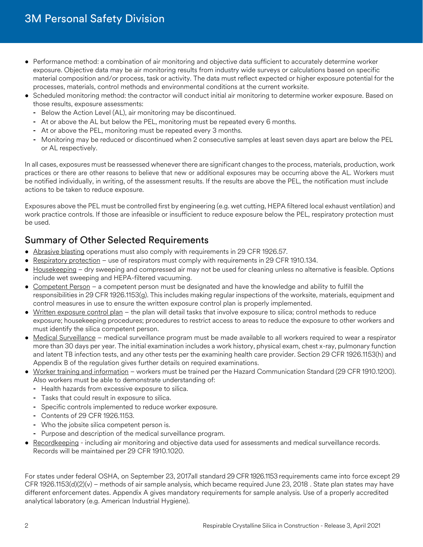- Performance method: a combination of air monitoring and objective data sufficient to accurately determine worker exposure. Objective data may be air monitoring results from industry wide surveys or calculations based on specific material composition and/or process, task or activity. The data must reflect expected or higher exposure potential for the processes, materials, control methods and environmental conditions at the current worksite.
- Scheduled monitoring method: the contractor will conduct initial air monitoring to determine worker exposure. Based on those results, exposure assessments:
	- **-** Below the Action Level (AL), air monitoring may be discontinued.
	- **-** At or above the AL but below the PEL, monitoring must be repeated every 6 months.
	- **-** At or above the PEL, monitoring must be repeated every 3 months.
	- **-** Monitoring may be reduced or discontinued when 2 consecutive samples at least seven days apart are below the PEL or AL respectively.

In all cases, exposures must be reassessed whenever there are significant changes to the process, materials, production, work practices or there are other reasons to believe that new or additional exposures may be occurring above the AL. Workers must be notified individually, in writing, of the assessment results. If the results are above the PEL, the notification must include actions to be taken to reduce exposure.

Exposures above the PEL must be controlled first by engineering (e.g. wet cutting, HEPA filtered local exhaust ventilation) and work practice controls. If those are infeasible or insufficient to reduce exposure below the PEL, respiratory protection must be used.

## Summary of Other Selected Requirements

- Abrasive blasting operations must also comply with requirements in 29 CFR 1926.57.
- Respiratory protection use of respirators must comply with requirements in 29 CFR 1910.134.
- Housekeeping dry sweeping and compressed air may not be used for cleaning unless no alternative is feasible. Options include wet sweeping and HEPA-filtered vacuuming.
- Competent Person a competent person must be designated and have the knowledge and ability to fulfill the responsibilities in 29 CFR 1926.1153(g). This includes making regular inspections of the worksite, materials, equipment and control measures in use to ensure the written exposure control plan is properly implemented.
- Written exposure control plan the plan will detail tasks that involve exposure to silica; control methods to reduce exposure; housekeeping procedures; procedures to restrict access to areas to reduce the exposure to other workers and must identify the silica competent person.
- Medical Surveillance medical surveillance program must be made available to all workers required to wear a respirator more than 30 days per year. The initial examination includes a work history, physical exam, chest x-ray, pulmonary function and latent TB infection tests, and any other tests per the examining health care provider. Section 29 CFR 1926.1153(h) and Appendix B of the regulation gives further details on required examinations.
- Worker training and information workers must be trained per the Hazard Communication Standard (29 CFR 1910.1200). Also workers must be able to demonstrate understanding of:
	- **-** Health hazards from excessive exposure to silica.
	- **-** Tasks that could result in exposure to silica.
	- **-** Specific controls implemented to reduce worker exposure.
	- **-** Contents of 29 CFR 1926.1153.
	- **-** Who the jobsite silica competent person is.
	- **-** Purpose and description of the medical surveillance program.
- Recordkeeping including air monitoring and objective data used for assessments and medical surveillance records. Records will be maintained per 29 CFR 1910.1020.

For states under federal OSHA, on September 23, 2017all standard 29 CFR 1926.1153 requirements came into force except 29 CFR 1926.1153(d)(2)(v) – methods of air sample analysis, which became required June 23, 2018 . State plan states may have different enforcement dates. Appendix A gives mandatory requirements for sample analysis. Use of a properly accredited analytical laboratory (e.g. American Industrial Hygiene).